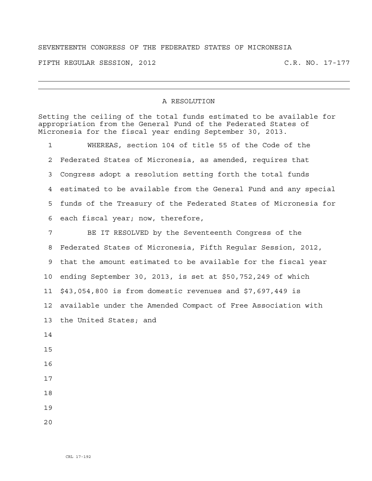## SEVENTEENTH CONGRESS OF THE FEDERATED STATES OF MICRONESIA

FIFTH REGULAR SESSION, 2012 C.R. NO. 17-177

## A RESOLUTION

Setting the ceiling of the total funds estimated to be available for appropriation from the General Fund of the Federated States of Micronesia for the fiscal year ending September 30, 2013.

1 WHEREAS, section 104 of title 55 of the Code of the 2 Federated States of Micronesia, as amended, requires that 3 Congress adopt a resolution setting forth the total funds 4 estimated to be available from the General Fund and any special 5 funds of the Treasury of the Federated States of Micronesia for 6 each fiscal year; now, therefore,

7 BE IT RESOLVED by the Seventeenth Congress of the 8 Federated States of Micronesia, Fifth Regular Session, 2012, 9 that the amount estimated to be available for the fiscal year 10 ending September 30, 2013, is set at \$50,752,249 of which 11 \$43,054,800 is from domestic revenues and \$7,697,449 is 12 available under the Amended Compact of Free Association with 13 the United States; and 14 15 16 17

- 18
- 19
- $2.0$